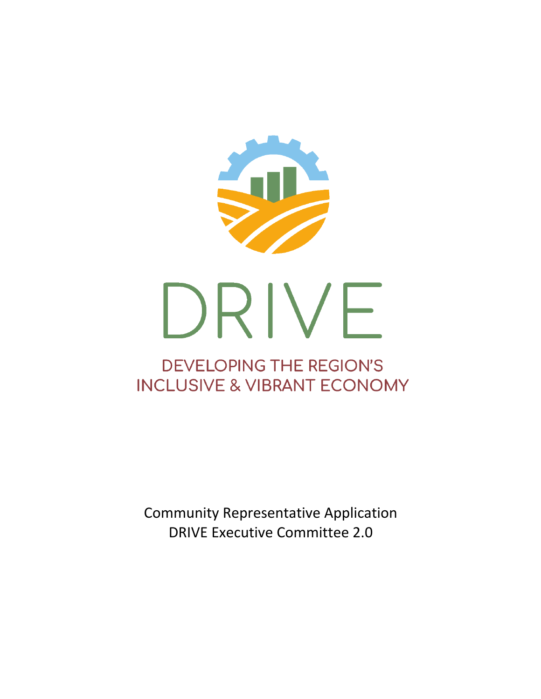

Community Representative Application DRIVE Executive Committee 2.0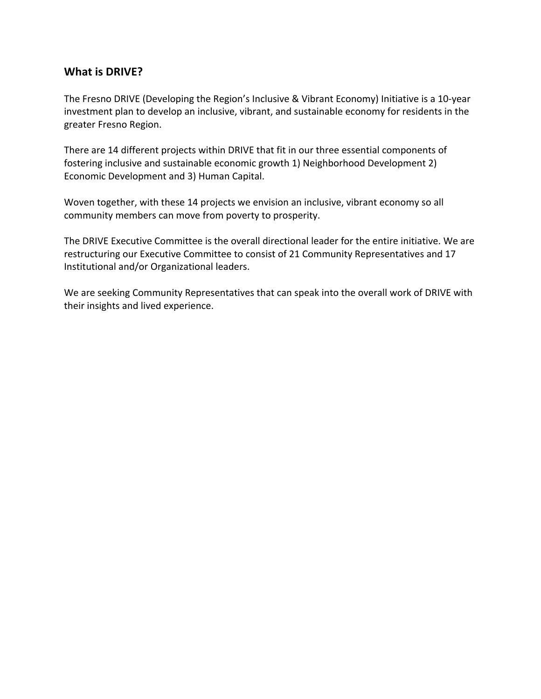# **What is DRIVE?**

The Fresno DRIVE (Developing the Region's Inclusive & Vibrant Economy) Initiative is a 10-year investment plan to develop an inclusive, vibrant, and sustainable economy for residents in the greater Fresno Region.

There are 14 different projects within DRIVE that fit in our three essential components of fostering inclusive and sustainable economic growth 1) Neighborhood Development 2) Economic Development and 3) Human Capital.

Woven together, with these 14 projects we envision an inclusive, vibrant economy so all community members can move from poverty to prosperity.

The DRIVE Executive Committee is the overall directional leader for the entire initiative. We are restructuring our Executive Committee to consist of 21 Community Representatives and 17 Institutional and/or Organizational leaders.

We are seeking Community Representatives that can speak into the overall work of DRIVE with their insights and lived experience.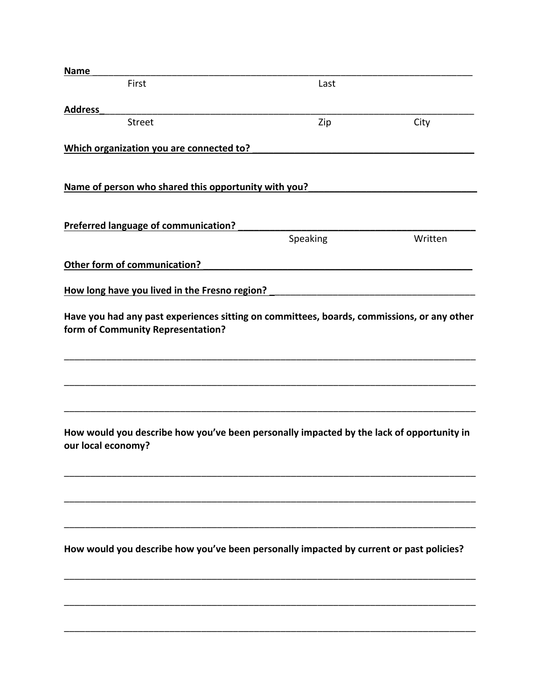| <b>Name</b>                                                                                                    |          |         |
|----------------------------------------------------------------------------------------------------------------|----------|---------|
| First                                                                                                          | Last     |         |
| <b>Address</b>                                                                                                 |          |         |
| <b>Street</b>                                                                                                  | Zip      | City    |
| Which organization you are connected to?                                                                       |          |         |
|                                                                                                                |          |         |
| Name of person who shared this opportunity with you?                                                           |          |         |
|                                                                                                                |          |         |
| <b>Preferred language of communication?</b>                                                                    |          |         |
|                                                                                                                | Speaking | Written |
| Other form of communication?                                                                                   |          |         |
| How long have you lived in the Fresno region?                                                                  |          |         |
|                                                                                                                |          |         |
| form of Community Representation?                                                                              |          |         |
|                                                                                                                |          |         |
|                                                                                                                |          |         |
|                                                                                                                |          |         |
| How would you describe how you've been personally impacted by the lack of opportunity in<br>our local economy? |          |         |
|                                                                                                                |          |         |
|                                                                                                                |          |         |
|                                                                                                                |          |         |
|                                                                                                                |          |         |
| How would you describe how you've been personally impacted by current or past policies?                        |          |         |
|                                                                                                                |          |         |
|                                                                                                                |          |         |
|                                                                                                                |          |         |
|                                                                                                                |          |         |
|                                                                                                                |          |         |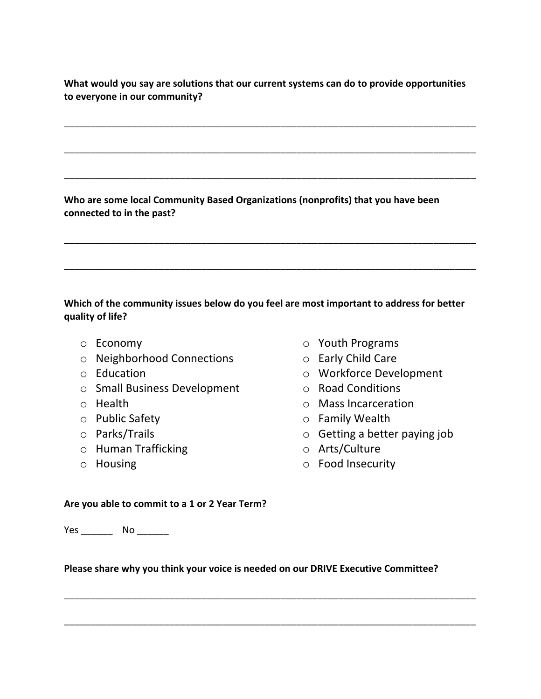**What would you say are solutions that our current systems can do to provide opportunities to everyone in our community?**

\_\_\_\_\_\_\_\_\_\_\_\_\_\_\_\_\_\_\_\_\_\_\_\_\_\_\_\_\_\_\_\_\_\_\_\_\_\_\_\_\_\_\_\_\_\_\_\_\_\_\_\_\_\_\_\_\_\_\_\_\_\_\_\_\_\_\_\_\_\_\_\_\_\_\_\_\_\_

\_\_\_\_\_\_\_\_\_\_\_\_\_\_\_\_\_\_\_\_\_\_\_\_\_\_\_\_\_\_\_\_\_\_\_\_\_\_\_\_\_\_\_\_\_\_\_\_\_\_\_\_\_\_\_\_\_\_\_\_\_\_\_\_\_\_\_\_\_\_\_\_\_\_\_\_\_\_

\_\_\_\_\_\_\_\_\_\_\_\_\_\_\_\_\_\_\_\_\_\_\_\_\_\_\_\_\_\_\_\_\_\_\_\_\_\_\_\_\_\_\_\_\_\_\_\_\_\_\_\_\_\_\_\_\_\_\_\_\_\_\_\_\_\_\_\_\_\_\_\_\_\_\_\_\_\_

\_\_\_\_\_\_\_\_\_\_\_\_\_\_\_\_\_\_\_\_\_\_\_\_\_\_\_\_\_\_\_\_\_\_\_\_\_\_\_\_\_\_\_\_\_\_\_\_\_\_\_\_\_\_\_\_\_\_\_\_\_\_\_\_\_\_\_\_\_\_\_\_\_\_\_\_\_\_

\_\_\_\_\_\_\_\_\_\_\_\_\_\_\_\_\_\_\_\_\_\_\_\_\_\_\_\_\_\_\_\_\_\_\_\_\_\_\_\_\_\_\_\_\_\_\_\_\_\_\_\_\_\_\_\_\_\_\_\_\_\_\_\_\_\_\_\_\_\_\_\_\_\_\_\_\_\_

**Who are some local Community Based Organizations (nonprofits) that you have been connected to in the past?**

## **Which of the community issues below do you feel are most important to address for better quality of life?**

- o Economy
- o Neighborhood Connections
- o Education
- o Small Business Development
- o Health
- o Public Safety
- o Parks/Trails
- o Human Trafficking
- o Housing
- o Youth Programs
- o Early Child Care
	- o Workforce Development
	- o Road Conditions
	- o Mass Incarceration
	- o Family Wealth
	- o Getting a better paying job
	- o Arts/Culture
	- o Food Insecurity

#### **Are you able to commit to a 1 or 2 Year Term?**

Yes No No District No District No. 1996.

### **Please share why you think your voice is needed on our DRIVE Executive Committee?**

\_\_\_\_\_\_\_\_\_\_\_\_\_\_\_\_\_\_\_\_\_\_\_\_\_\_\_\_\_\_\_\_\_\_\_\_\_\_\_\_\_\_\_\_\_\_\_\_\_\_\_\_\_\_\_\_\_\_\_\_\_\_\_\_\_\_\_\_\_\_\_\_\_\_\_\_\_\_

\_\_\_\_\_\_\_\_\_\_\_\_\_\_\_\_\_\_\_\_\_\_\_\_\_\_\_\_\_\_\_\_\_\_\_\_\_\_\_\_\_\_\_\_\_\_\_\_\_\_\_\_\_\_\_\_\_\_\_\_\_\_\_\_\_\_\_\_\_\_\_\_\_\_\_\_\_\_